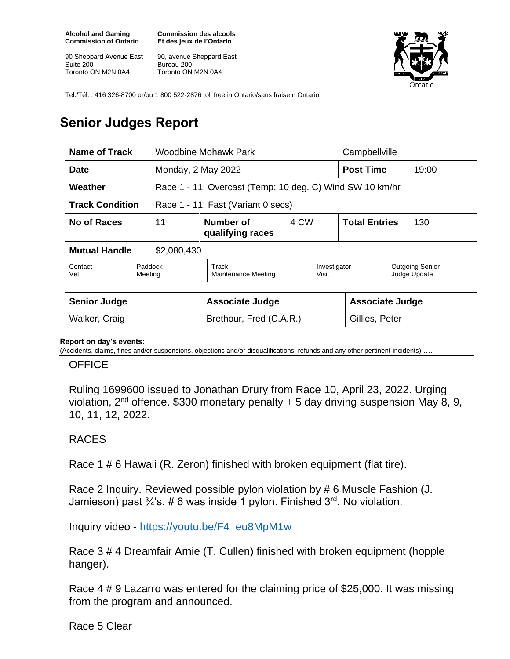**Alcohol and Gaming Commission of Ontario**

90 Sheppard Avenue East Suite 200 Toronto ON M2N 0A4

**Commission des alcools Et des jeux de l'Ontario**

90, avenue Sheppard East Bureau 200 Toronto ON M2N 0A4



Tel./Tél. : 416 326-8700 or/ou 1 800 522-2876 toll free in Ontario/sans fraise n Ontario

## **Senior Judges Report**

| Name of Track                                                |                                             | Woodbine Mohawk Park                                     |                             | Campbellville                          |  |
|--------------------------------------------------------------|---------------------------------------------|----------------------------------------------------------|-----------------------------|----------------------------------------|--|
| Monday, 2 May 2022<br><b>Date</b>                            |                                             |                                                          |                             | <b>Post Time</b><br>19:00              |  |
| Weather                                                      |                                             | Race 1 - 11: Overcast (Temp: 10 deg. C) Wind SW 10 km/hr |                             |                                        |  |
| <b>Track Condition</b><br>Race 1 - 11: Fast (Variant 0 secs) |                                             |                                                          |                             |                                        |  |
| No of Races                                                  | 11<br>Number of<br>4 CW<br>qualifying races |                                                          | <b>Total Entries</b><br>130 |                                        |  |
| <b>Mutual Handle</b><br>\$2,080,430                          |                                             |                                                          |                             |                                        |  |
| Contact<br>Vet                                               | Paddock<br>Meeting                          | Track<br>Investigator<br>Maintenance Meeting<br>Visit    |                             | <b>Outgoing Senior</b><br>Judge Update |  |
| <b>Senior Judge</b>                                          |                                             | <b>Associate Judge</b>                                   |                             | <b>Associate Judge</b>                 |  |
| Walker, Craig                                                |                                             | Brethour, Fred (C.A.R.)                                  |                             | Gillies, Peter                         |  |

## **Report on day's events:**

(Accidents, claims, fines and/or suspensions, objections and/or disqualifications, refunds and any other pertinent incidents)

## **OFFICE**

Ruling 1699600 issued to Jonathan Drury from Race 10, April 23, 2022. Urging violation,  $2^{nd}$  offence. \$300 monetary penalty  $+ 5$  day driving suspension May 8, 9, 10, 11, 12, 2022.

## RACES

Race 1 # 6 Hawaii (R. Zeron) finished with broken equipment (flat tire).

Race 2 Inquiry. Reviewed possible pylon violation by # 6 Muscle Fashion (J. Jamieson) past  $\frac{3}{4}$ 's. #6 was inside 1 pylon. Finished  $3^{rd}$ . No violation.

Inquiry video - [https://youtu.be/F4\\_eu8MpM1w](https://youtu.be/F4_eu8MpM1w)

Race 3 # 4 Dreamfair Arnie (T. Cullen) finished with broken equipment (hopple hanger).

Race 4 # 9 Lazarro was entered for the claiming price of \$25,000. It was missing from the program and announced.

Race 5 Clear